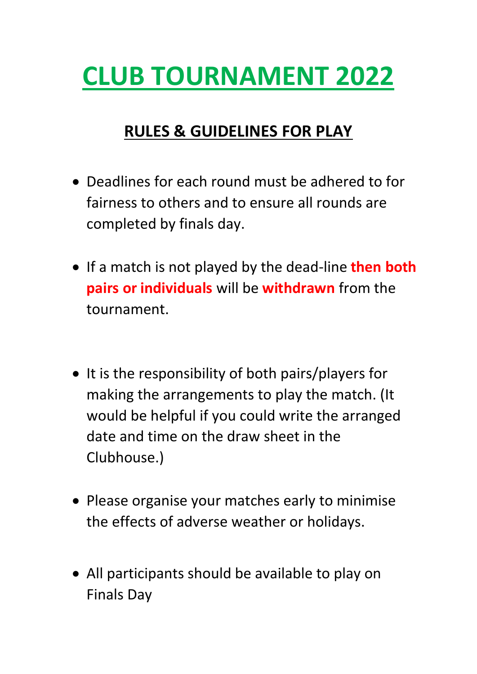## **CLUB TOURNAMENT 2022**

## **RULES & GUIDELINES FOR PLAY**

- Deadlines for each round must be adhered to for fairness to others and to ensure all rounds are completed by finals day.
- If a match is not played by the dead-line **then both pairs or individuals** will be **withdrawn** from the tournament.
- It is the responsibility of both pairs/players for making the arrangements to play the match. (It would be helpful if you could write the arranged date and time on the draw sheet in the Clubhouse.)
- Please organise your matches early to minimise the effects of adverse weather or holidays.
- All participants should be available to play on Finals Day